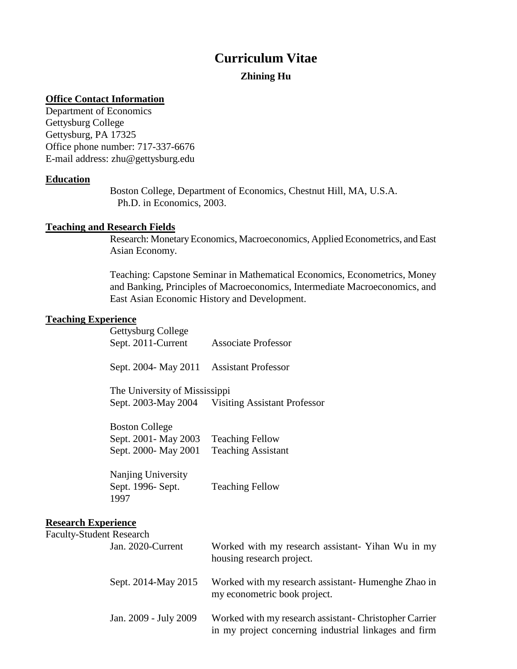# **Curriculum Vitae**

# **Zhining Hu**

## **Office Contact Information**

Department of Economics Gettysburg College Gettysburg, PA 17325 Office phone number: 717-337-6676 E-mail address: zhu@gettysburg.edu

### **Education**

Boston College, Department of Economics, Chestnut Hill, MA, U.S.A. Ph.D. in Economics, 2003.

# **Teaching and Research Fields**

Research: Monetary Economics, Macroeconomics, Applied Econometrics, and East Asian Economy.

Teaching: Capstone Seminar in Mathematical Economics, Econometrics, Money and Banking, Principles of Macroeconomics, Intermediate Macroeconomics, and East Asian Economic History and Development.

### **Teaching Experience**

|                                                        | Gettysburg College                       |                                                  |
|--------------------------------------------------------|------------------------------------------|--------------------------------------------------|
|                                                        | Sept. 2011-Current                       | <b>Associate Professor</b>                       |
|                                                        | Sept. 2004- May 2011 Assistant Professor |                                                  |
|                                                        | The University of Mississippi            |                                                  |
|                                                        |                                          | Sept. 2003-May 2004 Visiting Assistant Professor |
|                                                        | <b>Boston College</b>                    |                                                  |
|                                                        | Sept. 2001 - May 2003                    | <b>Teaching Fellow</b>                           |
|                                                        | Sept. 2000- May 2001                     | <b>Teaching Assistant</b>                        |
|                                                        | Nanjing University                       |                                                  |
|                                                        | Sept. 1996- Sept.<br>1997                | <b>Teaching Fellow</b>                           |
| <b>Research Experience</b><br>$\overline{\phantom{0}}$ |                                          |                                                  |

| <b>Faculty-Student Research</b> |                                                                                                                 |
|---------------------------------|-----------------------------------------------------------------------------------------------------------------|
| Jan. 2020-Current               | Worked with my research assistant- Yihan Wu in my<br>housing research project.                                  |
| Sept. 2014-May 2015             | Worked with my research assistant-Humenghe Zhao in<br>my econometric book project.                              |
| Jan. 2009 - July 2009           | Worked with my research assistant- Christopher Carrier<br>in my project concerning industrial linkages and firm |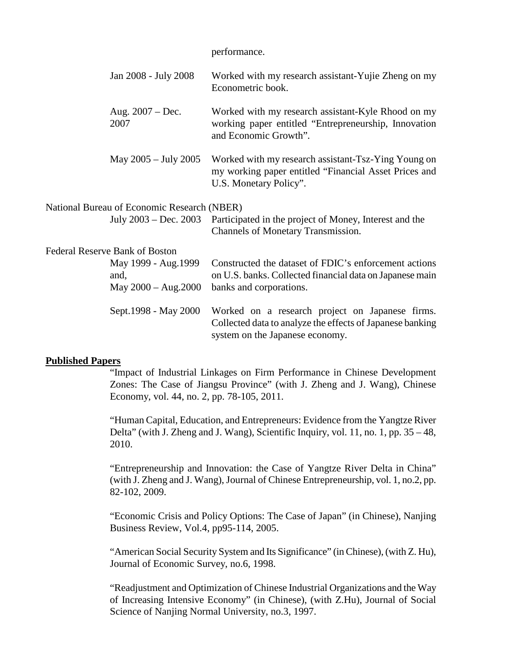|                                                       | performance.                                                                                                                                    |
|-------------------------------------------------------|-------------------------------------------------------------------------------------------------------------------------------------------------|
| Jan 2008 - July 2008                                  | Worked with my research assistant-Yujie Zheng on my<br>Econometric book.                                                                        |
| Aug. $2007 - Dec.$<br>2007                            | Worked with my research assistant-Kyle Rhood on my<br>working paper entitled "Entrepreneurship, Innovation<br>and Economic Growth".             |
| May 2005 - July 2005                                  | Worked with my research assistant-Tsz-Ying Young on<br>my working paper entitled "Financial Asset Prices and<br>U.S. Monetary Policy".          |
| National Bureau of Economic Research (NBER)           |                                                                                                                                                 |
| July 2003 – Dec. 2003                                 | Participated in the project of Money, Interest and the<br><b>Channels of Monetary Transmission.</b>                                             |
| <b>Federal Reserve Bank of Boston</b>                 |                                                                                                                                                 |
| May 1999 - Aug. 1999<br>and,<br>May $2000 - Aug.2000$ | Constructed the dataset of FDIC's enforcement actions<br>on U.S. banks. Collected financial data on Japanese main<br>banks and corporations.    |
| Sept.1998 - May 2000                                  | Worked on a research project on Japanese firms.<br>Collected data to analyze the effects of Japanese banking<br>system on the Japanese economy. |

#### **Published Papers**

"Impact of Industrial Linkages on Firm Performance in Chinese Development Zones: The Case of Jiangsu Province" (with J. Zheng and J. Wang), Chinese Economy, vol. 44, no. 2, pp. 78-105, 2011.

"Human Capital, Education, and Entrepreneurs: Evidence from the Yangtze River Delta" (with J. Zheng and J. Wang), Scientific Inquiry, vol. 11, no. 1, pp. 35 – 48, 2010.

"Entrepreneurship and Innovation: the Case of Yangtze River Delta in China" (with J. Zheng and J. Wang), Journal of Chinese Entrepreneurship, vol. 1, no.2, pp. 82-102, 2009.

"Economic Crisis and Policy Options: The Case of Japan" (in Chinese), Nanjing Business Review, Vol.4, pp95-114, 2005.

"American Social Security System and Its Significance" (in Chinese), (with Z. Hu), Journal of Economic Survey, no.6, 1998.

"Readjustment and Optimization of Chinese Industrial Organizations and the Way of Increasing Intensive Economy" (in Chinese), (with Z.Hu), Journal of Social Science of Nanjing Normal University, no.3, 1997.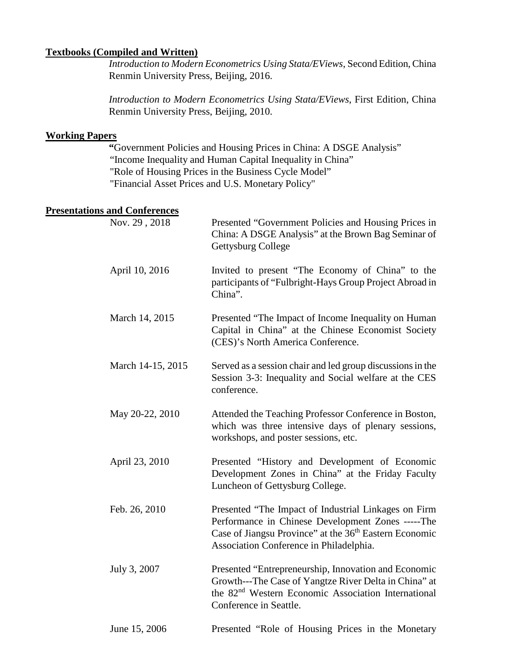#### **Textbooks (Compiled and Written)**

 *Introduction to Modern Econometrics Using Stata/EViews*, Second Edition, China Renmin University Press, Beijing, 2016.

 *Introduction to Modern Econometrics Using Stata/EViews*, First Edition, China Renmin University Press, Beijing, 2010.

### **Working Papers**

 **"**Government Policies and Housing Prices in China: A DSGE Analysis" "Income Inequality and Human Capital Inequality in China" "Role of Housing Prices in the Business Cycle Model" "Financial Asset Prices and U.S. Monetary Policy"

#### **Presentations and Conferences**

| Nov. 29, 2018     | Presented "Government Policies and Housing Prices in<br>China: A DSGE Analysis" at the Brown Bag Seminar of<br><b>Gettysburg College</b>                                                                                   |
|-------------------|----------------------------------------------------------------------------------------------------------------------------------------------------------------------------------------------------------------------------|
| April 10, 2016    | Invited to present "The Economy of China" to the<br>participants of "Fulbright-Hays Group Project Abroad in<br>China".                                                                                                     |
| March 14, 2015    | Presented "The Impact of Income Inequality on Human<br>Capital in China" at the Chinese Economist Society<br>(CES)'s North America Conference.                                                                             |
| March 14-15, 2015 | Served as a session chair and led group discussions in the<br>Session 3-3: Inequality and Social welfare at the CES<br>conference.                                                                                         |
| May 20-22, 2010   | Attended the Teaching Professor Conference in Boston,<br>which was three intensive days of plenary sessions,<br>workshops, and poster sessions, etc.                                                                       |
| April 23, 2010    | Presented "History and Development of Economic<br>Development Zones in China" at the Friday Faculty<br>Luncheon of Gettysburg College.                                                                                     |
| Feb. 26, 2010     | Presented "The Impact of Industrial Linkages on Firm<br>Performance in Chinese Development Zones -----The<br>Case of Jiangsu Province" at the 36 <sup>th</sup> Eastern Economic<br>Association Conference in Philadelphia. |
| July 3, 2007      | Presented "Entrepreneurship, Innovation and Economic<br>Growth---The Case of Yangtze River Delta in China" at<br>the 82 <sup>nd</sup> Western Economic Association International<br>Conference in Seattle.                 |
| June 15, 2006     | Presented "Role of Housing Prices in the Monetary                                                                                                                                                                          |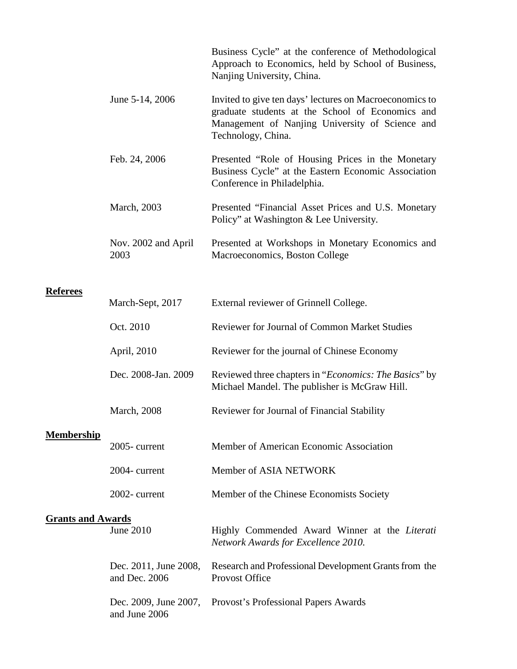|                          |                                        | Business Cycle" at the conference of Methodological<br>Approach to Economics, held by School of Business,<br>Nanjing University, China.                                              |
|--------------------------|----------------------------------------|--------------------------------------------------------------------------------------------------------------------------------------------------------------------------------------|
|                          | June 5-14, 2006                        | Invited to give ten days' lectures on Macroeconomics to<br>graduate students at the School of Economics and<br>Management of Nanjing University of Science and<br>Technology, China. |
|                          | Feb. 24, 2006                          | Presented "Role of Housing Prices in the Monetary<br>Business Cycle" at the Eastern Economic Association<br>Conference in Philadelphia.                                              |
|                          | March, 2003                            | Presented "Financial Asset Prices and U.S. Monetary<br>Policy" at Washington & Lee University.                                                                                       |
|                          | Nov. 2002 and April<br>2003            | Presented at Workshops in Monetary Economics and<br>Macroeconomics, Boston College                                                                                                   |
|                          |                                        |                                                                                                                                                                                      |
| <b>Referees</b>          | March-Sept, 2017                       | External reviewer of Grinnell College.                                                                                                                                               |
|                          | Oct. 2010                              | Reviewer for Journal of Common Market Studies                                                                                                                                        |
|                          | April, 2010                            | Reviewer for the journal of Chinese Economy                                                                                                                                          |
|                          | Dec. 2008-Jan. 2009                    | Reviewed three chapters in "Economics: The Basics" by<br>Michael Mandel. The publisher is McGraw Hill.                                                                               |
|                          | <b>March</b> , 2008                    | Reviewer for Journal of Financial Stability                                                                                                                                          |
| <b>Membership</b>        |                                        |                                                                                                                                                                                      |
|                          | 2005-current                           | Member of American Economic Association                                                                                                                                              |
|                          | 2004-current                           | Member of ASIA NETWORK                                                                                                                                                               |
|                          | 2002-current                           | Member of the Chinese Economists Society                                                                                                                                             |
| <b>Grants and Awards</b> |                                        |                                                                                                                                                                                      |
|                          | June 2010                              | Highly Commended Award Winner at the Literati<br>Network Awards for Excellence 2010.                                                                                                 |
|                          | Dec. 2011, June 2008,<br>and Dec. 2006 | Research and Professional Development Grants from the<br>Provost Office                                                                                                              |

Dec. 2009, June 2007, Provost's Professional Papers Awardsand June 2006